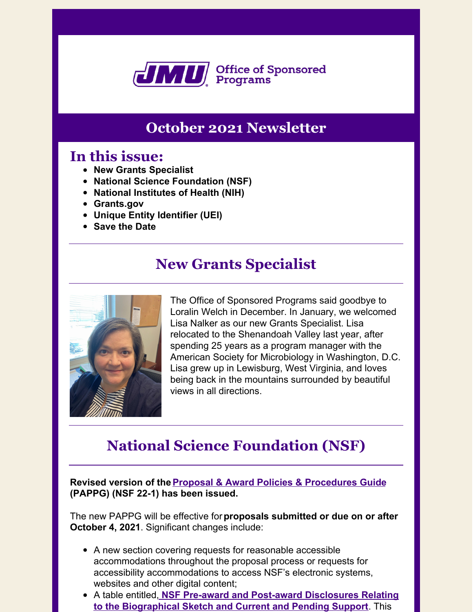

## **October 2021 Newsletter**

### **In this issue:**

- **New Grants Specialist**
- **National Science Foundation (NSF)**
- **National Institutes of Health (NIH)**
- **Grants.gov**
- **Unique Entity Identifier (UEI)**
- **Save the Date**

## **New Grants Specialist**



The Office of Sponsored Programs said goodbye to Loralin Welch in December. In January, we welcomed Lisa Nalker as our new Grants Specialist. Lisa relocated to the Shenandoah Valley last year, after spending 25 years as a program manager with the American Society for Microbiology in Washington, D.C. Lisa grew up in Lewisburg, West Virginia, and loves being back in the mountains surrounded by beautiful views in all directions.

## **National Science Foundation (NSF)**

**Revised version of theProposal & Award Policies & Procedures Guide (PAPPG) (NSF 22-1) has been issued.**

The new PAPPG will be effective for**proposals submitted or due on or after October 4, 2021**. Significant changes include:

- A new section covering requests for reasonable accessible accommodations throughout the proposal process or requests for accessibility accommodations to access NSF's electronic systems, websites and other digital content;
- A table entitled, **NSF Pre-award and Post-award Disclosures Relating to the Biographical Sketch and Current and Pending Support**. This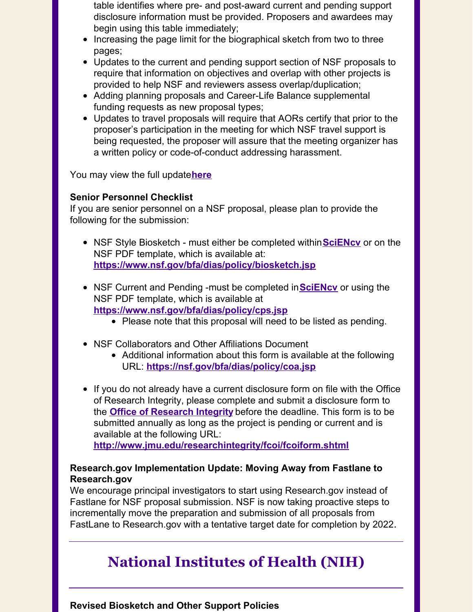table identifies where pre- and post-award current and pending support disclosure information must be provided. Proposers and awardees may begin using this table immediately;

- Increasing the page limit for the biographical sketch from two to three pages;
- Updates to the current and pending support section of NSF proposals to require that information on objectives and overlap with other projects is provided to help NSF and reviewers assess overlap/duplication;
- Adding planning proposals and Career-Life Balance supplemental funding requests as new proposal types;
- Updates to travel proposals will require that AORs certify that prior to the proposer's participation in the meeting for which NSF travel support is being requested, the proposer will assure that the meeting organizer has a written policy or code-of-conduct addressing harassment.

You may view the full update**here**

### **Senior Personnel Checklist**

If you are senior personnel on a NSF proposal, please plan to provide the following for the submission:

- NSF Style Biosketch must either be completed within**SciENcv** or on the NSF PDF template, which is available at: **https://www.nsf.gov/bfa/dias/policy/biosketch.jsp**
- NSF Current and Pending -must be completed in**SciENcv** or using the NSF PDF template, which is available at **https://www.nsf.gov/bfa/dias/policy/cps.jsp**
	- Please note that this proposal will need to be listed as pending.
- NSF Collaborators and Other Affiliations Document
	- Additional information about this form is available at the following URL: **https://nsf.gov/bfa/dias/policy/coa.jsp**
- If you do not already have a current disclosure form on file with the Office of Research Integrity, please complete and submit a disclosure form to the **Office of Research Integrity** before the deadline. This form is to be submitted annually as long as the project is pending or current and is available at the following URL:

**http://www.jmu.edu/researchintegrity/fcoi/fcoiform.shtml**

### **Research.gov Implementation Update: Moving Away from Fastlane to Research.gov**

We encourage principal investigators to start using Research.gov instead of Fastlane for NSF proposal submission. NSF is now taking proactive steps to incrementally move the preparation and submission of all proposals from FastLane to Research.gov with a tentative target date for completion by 2022.

## **National Institutes of Health (NIH)**

**Revised Biosketch and Other Support Policies**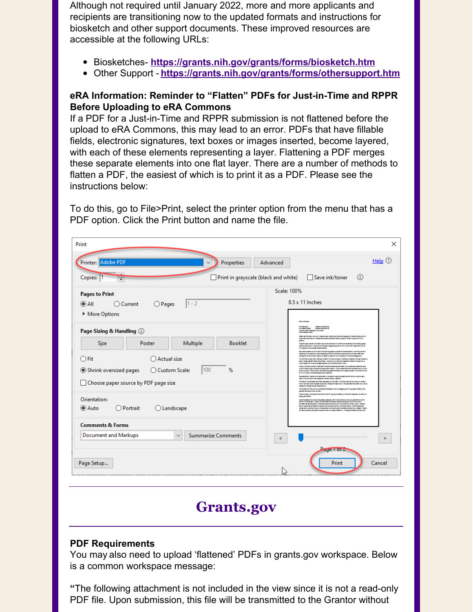Although not required until January 2022, more and more applicants and recipients are transitioning now to the updated formats and instructions for biosketch and other support documents. These improved resources are accessible at the following URLs:

- Biosketches- **https://grants.nih.gov/grants/forms/biosketch.htm**
- Other Support **https://grants.nih.gov/grants/forms/othersupport.htm**

### **eRA Information: Reminder to "Flatten" PDFs for Just-in-Time and RPPR Before Uploading to eRA Commons**

If a PDF for a Just-in-Time and RPPR submission is not flattened before the upload to eRA Commons, this may lead to an error. PDFs that have fillable fields, electronic signatures, text boxes or images inserted, become layered, with each of these elements representing a layer. Flattening a PDF merges these separate elements into one flat layer. There are a number of methods to flatten a PDF, the easiest of which is to print it as a PDF. Please see the instructions below:

To do this, go to File>Print, select the printer option from the menu that has a PDF option. Click the Print button and name the file.

| Print                                                                    | ×                                                                                                                                                                                                                                                                                                                                                                                                                                                                                                                                      |
|--------------------------------------------------------------------------|----------------------------------------------------------------------------------------------------------------------------------------------------------------------------------------------------------------------------------------------------------------------------------------------------------------------------------------------------------------------------------------------------------------------------------------------------------------------------------------------------------------------------------------|
| Printer: Adobe PDF<br>Properties<br>$\checkmark$                         | Help $\circledcirc$<br>Advanced                                                                                                                                                                                                                                                                                                                                                                                                                                                                                                        |
| Copies: 1<br>Print in grayscale (black and white)                        | □ Save ink/toner<br>$\bigcirc$                                                                                                                                                                                                                                                                                                                                                                                                                                                                                                         |
| <b>Pages to Print</b>                                                    | Scale: 100%                                                                                                                                                                                                                                                                                                                                                                                                                                                                                                                            |
| $1 - 2$<br>$\odot$ All<br>$O$ Pages<br>$\bigcap$ Current                 | 8.5 x 11 Inches                                                                                                                                                                                                                                                                                                                                                                                                                                                                                                                        |
| More Options                                                             |                                                                                                                                                                                                                                                                                                                                                                                                                                                                                                                                        |
| Page Sizing & Handling (i)                                               | <b>MONTH NO</b><br>Pertamatana.<br>NGC 1884 NASA E<br><b>Proposed Andrew VIII</b><br>Proposed Mail 6, 212<br>timet Sundan Witt (Mauschlift)<br>Entre en erkir filmlik                                                                                                                                                                                                                                                                                                                                                                  |
| Multiple<br><b>Booklet</b><br>Size<br>Poster                             | With the Africa industrial and apparting to Walthers' Materials frequent the third American interest<br>Engineering example to the sense illustrians (IAEs UP) and special "UPser frame size of (UP)<br>Thereforeing marketime efter require the exteriorism designed materials to the funding agency.<br>releasing in subsecutive and control of the set of the second second seconds and set of<br>have protes to add to the distance.                                                                                               |
| $\bigcirc$ Fit<br>Actual size                                            | harasses countered to make the sweeting agency was the of the afting stars, such as by arrailler<br>is laginara. The context principal investigate (iii) can short that more sincelly continue and it, their<br>signing of lead (iii) (iii) the couples of a mark for approved and submission in the counting operator<br>In dertifing more, the finality into all A Communicating to the Notercommunity of the photon<br>button along the left state of the artistics. The Saturn canded busts assessing challenge to professor in    |
| 100<br>Shrink oversized pages<br>○ Custom Scale:<br>%                    | the far some latin area rent salesting that refram the depoters manu-<br>Opportunities determines the Presid Topole that the key at exact and or United States for planneds, and<br>dide an the plan significations parallel to a surface model. Classificated to be to all the problems of the classification of the control of the control of the control of the control of the control of the con-<br>for an OT control. OCA will presente the or name if a                                                                         |
| Choose paper source by PDF page size                                     | importantist contributions of the system of a the entrempton test and the pro-<br>side. Calcificated benefit exiged a to the decorrent to salarith<br>The Start Thursdore is the countraling pass in the talk. The Promise the decoration series<br>Preserved decoracil has been splend to disting the than batter. Prespice delich complicate she be<br><b>Materials clubry the self-statements</b><br>institute to the score for uploaded detailed easily by shapping and dropping the files to the<br>globilitations of the screen. |
| Orientation:                                                             | There is also a commentall elaboration the Plicar give details on what the matrix is or why his<br>been abrest<br>Organiza de desdiderramação hamalheam aplicadad. Em film diferentes a tradicional a selectivam a titula.<br>Institutural liberaria em Cananda diferentiales e de maioritamente e al serviça em adiferente de maioritas.                                                                                                                                                                                              |
| <b>■</b> Auto<br>$O$ Portrait<br>$O$ Landscape                           | president during the seester. President dy senecides and security contents and sensels, benefit between<br>but an according to a great a structure of a contract to the contract of the SA. If their backeting<br>are and smallest kiss, all the advance is experiments will be them. I does night a<br>all remove all the grissaled decomprisonal community. Autility the College than Notification has                                                                                                                               |
| <b>Comments &amp; Forms</b>                                              |                                                                                                                                                                                                                                                                                                                                                                                                                                                                                                                                        |
| <b>Summarize Comments</b><br><b>Document and Markups</b><br>$\checkmark$ | ⋖<br>⋗                                                                                                                                                                                                                                                                                                                                                                                                                                                                                                                                 |
|                                                                          | $D_{\text{u}}$ ge   OT $\angle$                                                                                                                                                                                                                                                                                                                                                                                                                                                                                                        |
| Page Setup                                                               | Cancel<br>Print                                                                                                                                                                                                                                                                                                                                                                                                                                                                                                                        |
|                                                                          |                                                                                                                                                                                                                                                                                                                                                                                                                                                                                                                                        |

## **Grants.gov**

### **PDF Requirements**

You may also need to upload 'flattened' PDFs in grants.gov workspace. Below is a common workspace message:

**"**The following attachment is not included in the view since it is not a read-only PDF file. Upon submission, this file will be transmitted to the Grantor without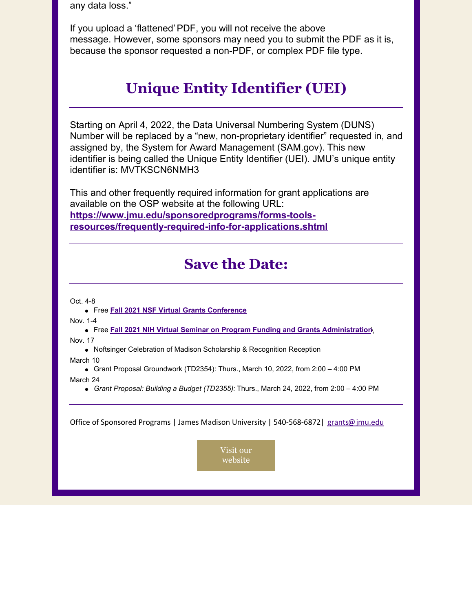any data loss."

If you upload a 'flattened'PDF, you will not receive the above message. However, some sponsors may need you to submit the PDF as it is, because the sponsor requested a non-PDF, or complex PDF file type.

## **Unique Entity Identifier (UEI)**

Starting on April 4, 2022, the Data Universal Numbering System (DUNS) Number will be replaced by a "new, non-proprietary identifier" requested in, and assigned by, the System for Award Management (SAM.gov). This new identifier is being called the Unique Entity Identifier (UEI). JMU's unique entity identifier is: MVTKSCN6NMH3

This and other frequently required information for grant applications are available on the OSP website at the following URL: **https://www.jmu.edu/sponsoredprograms/forms-toolsresources/frequently-required-info-for-applications.shtml**

## **Save the Date:**

Oct. 4-8

Free **Fall 2021 NSF Virtual Grants Conference**

Nov. 1-4

- Free **Fall 2021 NIH Virtual Seminar on Program Funding and Grants Administration**\ Nov. 17
	- Noftsinger Celebration of Madison Scholarship & Recognition Reception

March 10

Grant Proposal Groundwork (TD2354): Thurs., March 10, 2022, from 2:00 - 4:00 PM

March 24

*Grant Proposal: Building a Budget (TD2355):* Thurs., March 24, 2022, from 2:00 – 4:00 PM

Office of Sponsored Programs | James Madison University | 540-568-6872 | grants@jmu.edu

Visit our website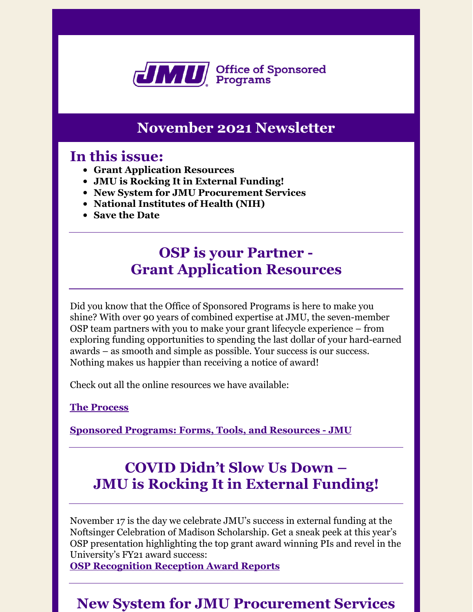

## **November 2021 Newsletter**

### **In this issue:**

- **Grant Application Resources**
- **JMU is Rocking It in External Funding!**
- **New System for JMU Procurement Services**
- **National Institutes of Health (NIH)**
- **Save the Date**

## **OSP is your Partner - Grant Application Resources**

Did you know that the Office of Sponsored Programs is here to make you shine? With over 90 years of combined expertise at JMU, the seven-member OSP team partners with you to make your grant lifecycle experience – from exploring funding opportunities to spending the last dollar of your hard-earned awards – as smooth and simple as possible. Your success is our success. Nothing makes us happier than receiving a notice of award!

Check out all the online resources we have available:

### **The [Process](https://www.jmu.edu/sponsoredprograms/forms-tools-resources/quick-reference-guide1.shtml)**

**[Sponsored](https://www.jmu.edu/sponsoredprograms/forms-tools-resources/index.shtml) Programs: Forms, Tools, and Resources - JMU**

# **COVID Didn't Slow Us Down – JMU is Rocking It in External Funding!**

November 17 is the day we celebrate JMU's success in external funding at the Noftsinger Celebration of Madison Scholarship. Get a sneak peek at this year's OSP presentation highlighting the top grant award winning PIs and revel in the University's FY21 award success: **OSP [Recognition](https://www.jmu.edu/sponsoredprograms/newsletters-and-reports/osp_funding_tiers_finalfy212.pdf) Reception Award Reports**

## **New System for JMU Procurement Services**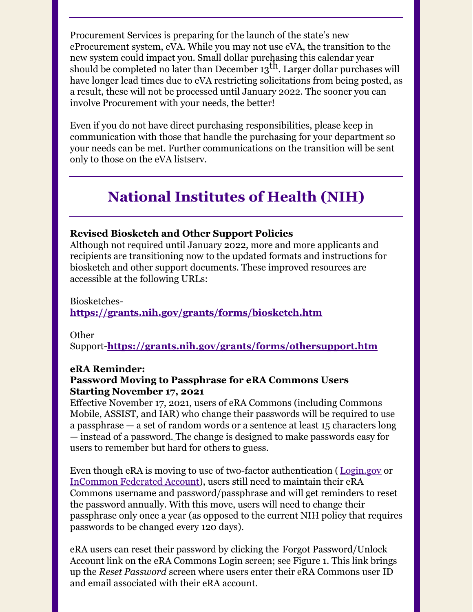Procurement Services is preparing for the launch of the state's new eProcurement system, eVA. While you may not use eVA, the transition to the new system could impact you. Small dollar purchasing this calendar year should be completed no later than December  $13^{\text{th}}$ . Larger dollar purchases will have longer lead times due to eVA restricting solicitations from being posted, as a result, these will not be processed until January 2022. The sooner you can involve Procurement with your needs, the better!

Even if you do not have direct purchasing responsibilities, please keep in communication with those that handle the purchasing for your department so your needs can be met. Further communications on the transition will be sent only to those on the eVA listserv.

## **National Institutes of Health (NIH)**

### **Revised Biosketch and Other Support Policies**

Although not required until January 2022, more and more applicants and recipients are transitioning now to the updated formats and instructions for biosketch and other support documents. These improved resources are accessible at the following URLs:

Biosketches-

**<https://grants.nih.gov/grants/forms/biosketch.htm>**

Other

Support-**<https://grants.nih.gov/grants/forms/othersupport.htm>**

### **eRA Reminder:**

### **Password Moving to Passphrase for eRA Commons Users Starting November 17, 2021**

Effective November 17, 2021, users of eRA Commons (including Commons Mobile, ASSIST, and IAR) who change their passwords will be required to use a passphrase — a set of random words or a sentence at least 15 characters long — instead of a password. The change is designed to make passwords easy for users to remember but hard for others to guess.

Even though eRA is moving to use of two-factor authentication ( [Login.gov](https://urldefense.proofpoint.com/v2/url?u=https-3A__era.nih.gov_register-2Daccounts_access-2Dera-2Dmodules-2Dvia-2Dlogin-2Dgov.htm&d=DwMFAg&c=eLbWYnpnzycBCgmb7vCI4uqNEB9RSjOdn_5nBEmmeq0&r=2Hm3l-XDxQ_MJcKgeFEKfQ&m=IrCFEpEeciMNqmrWY0rWOT686rTBFz4N0-22MHxZxwY&s=vLTZYpQ4y3beMF3EiVhs1AGwBP76qTBSe5EsBUqWxzs&e=) or [InCommon](https://urldefense.proofpoint.com/v2/url?u=https-3A__era.nih.gov_register-2Daccounts_access-2Dera-2Dmodules-2Dvia-2Dlogin-2Dgov.htm-23federated-2Dusers&d=DwMFAg&c=eLbWYnpnzycBCgmb7vCI4uqNEB9RSjOdn_5nBEmmeq0&r=2Hm3l-XDxQ_MJcKgeFEKfQ&m=IrCFEpEeciMNqmrWY0rWOT686rTBFz4N0-22MHxZxwY&s=xBznvMVqa3XaTo62e5J-hphaVwVqdlT3gTHQRiQAPt8&e=) Federated Account), users still need to maintain their eRA Commons username and password/passphrase and will get reminders to reset the password annually. With this move, users will need to change their passphrase only once a year (as opposed to the current NIH policy that requires passwords to be changed every 120 days).

eRA users can reset their password by clicking the Forgot Password/Unlock Account link on the eRA Commons Login screen; see Figure 1. This link brings up the *Reset Password* screen where users enter their eRA Commons user ID and email associated with their eRA account.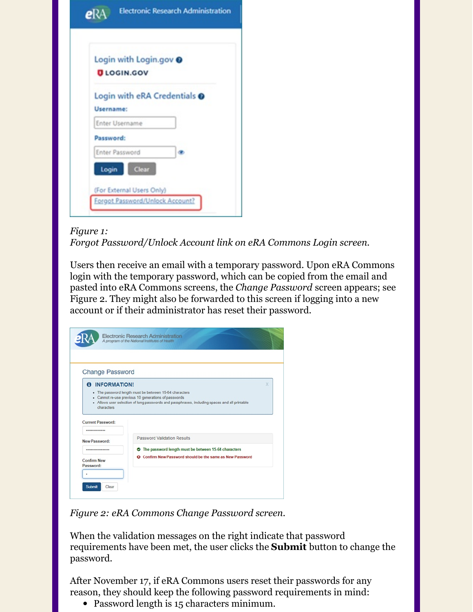| Login with Login.gov @       |  |
|------------------------------|--|
| <b>ULOGIN.GOV</b>            |  |
| Login with eRA Credentials @ |  |
| Username:                    |  |
| Enter Username               |  |
| Password:                    |  |
| Enter Password               |  |
| Clear<br>Login               |  |

#### *Figure 1:*

*Forgot Password/Unlock Account link on eRA Commons Login screen.*

Users then receive an email with a temporary password. Upon eRA Commons login with the temporary password, which can be copied from the email and pasted into eRA Commons screens, the *Change Password* screen appears; see Figure 2. They might also be forwarded to this screen if logging into a new account or if their administrator has reset their password.

| <b>Change Password</b>   |                                                                                               |   |
|--------------------------|-----------------------------------------------------------------------------------------------|---|
| 6 INFORMATION!           |                                                                                               | X |
|                          | - The password length must be between 15-64 characters                                        |   |
|                          | - Cannot re-use previous 10 generations of passwords                                          |   |
| characters               | - Allows user selection of long passwords and passphrases, including spaces and all printable |   |
|                          |                                                                                               |   |
|                          |                                                                                               |   |
| <b>Current Password:</b> |                                                                                               |   |
| ***************          |                                                                                               |   |
| New Password:            | <b>Password Validation Results</b>                                                            |   |
|                          | The password length must be between 15-64 characters                                          |   |
| <b>Confirm New</b>       | <b>O</b> Confirm New Password should be the same as New Password                              |   |

*Figure 2: eRA Commons Change Password screen.*

When the validation messages on the right indicate that password requirements have been met, the user clicks the **Submit** button to change the password.

After November 17, if eRA Commons users reset their passwords for any reason, they should keep the following password requirements in mind:

• Password length is 15 characters minimum.